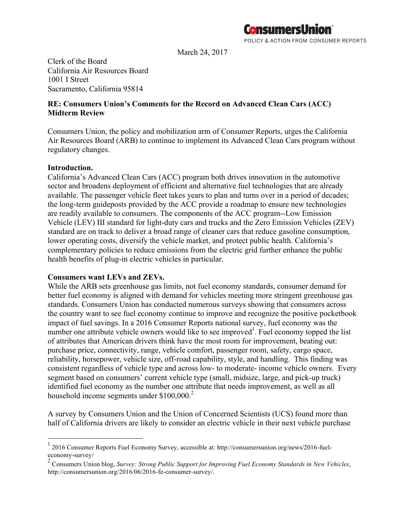

POLICY & ACTION FROM CONSUMER REPORTS

March 24, 2017

Clerk of the Board California Air Resources Board 1001 I Street Sacramento, California 95814

# **RE: Consumers Union's Comments for the Record on Advanced Clean Cars (ACC) Midterm Review**

Consumers Union, the policy and mobilization arm of Consumer Reports, urges the California Air Resources Board (ARB) to continue to implement its Advanced Clean Cars program without regulatory changes.

### **Introduction.**

California's Advanced Clean Cars (ACC) program both drives innovation in the automotive sector and broadens deployment of efficient and alternative fuel technologies that are already available. The passenger vehicle fleet takes years to plan and turns over in a period of decades; the long-term guideposts provided by the ACC provide a roadmap to ensure new technologies are readily available to consumers. The components of the ACC program--Low Emission Vehicle (LEV) III standard for light-duty cars and trucks and the Zero Emission Vehicles (ZEV) standard are on track to deliver a broad range of cleaner cars that reduce gasoline consumption, lower operating costs, diversify the vehicle market, and protect public health. California's complementary policies to reduce emissions from the electric grid further enhance the public health benefits of plug-in electric vehicles in particular.

### **Consumers want LEVs and ZEVs.**

While the ARB sets greenhouse gas limits, not fuel economy standards, consumer demand for better fuel economy is aligned with demand for vehicles meeting more stringent greenhouse gas standards. Consumers Union has conducted numerous surveys showing that consumers across the country want to see fuel economy continue to improve and recognize the positive pocketbook impact of fuel savings. In a 2016 Consumer Reports national survey, fuel economy was the number one attribute vehicle owners would like to see improved<sup>1</sup>. Fuel economy topped the list of attributes that American drivers think have the most room for improvement, beating out: purchase price, connectivity, range, vehicle comfort, passenger room, safety, cargo space, reliability, horsepower, vehicle size, off-road capability, style, and handling. This finding was consistent regardless of vehicle type and across low- to moderate- income vehicle owners. Every segment based on consumers' current vehicle type (small, midsize, large, and pick-up truck) identified fuel economy as the number one attribute that needs improvement, as well as all household income segments under \$100,000.<sup>2</sup>

A survey by Consumers Union and the Union of Concerned Scientists (UCS) found more than half of California drivers are likely to consider an electric vehicle in their next vehicle purchase

 <sup>1</sup> 2016 Consumer Reports Fuel Economy Survey, accessible at: http://consumersunion.org/news/2016-fueleconomy-survey/

<sup>2</sup> Consumers Union blog, *Survey: Strong Public Support for Improving Fuel Economy Standards in New Vehicles*, http://consumersunion.org/2016/06/2016-fe-consumer-survey/.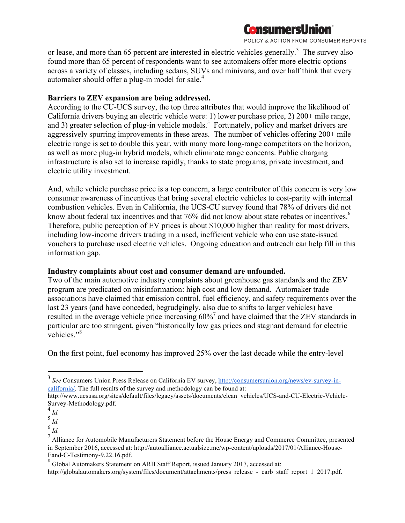

POLICY & ACTION FROM CONSUMER REPORTS

or lease, and more than 65 percent are interested in electric vehicles generally.<sup>3</sup> The survey also found more than 65 percent of respondents want to see automakers offer more electric options across a variety of classes, including sedans, SUVs and minivans, and over half think that every automaker should offer a plug-in model for sale.<sup>4</sup>

### **Barriers to ZEV expansion are being addressed.**

According to the CU-UCS survey, the top three attributes that would improve the likelihood of California drivers buying an electric vehicle were: 1) lower purchase price, 2) 200+ mile range, and 3) greater selection of plug-in vehicle models.<sup>5</sup> Fortunately, policy and market drivers are aggressively spurring improvements in these areas. The number of vehicles offering 200+ mile electric range is set to double this year, with many more long-range competitors on the horizon, as well as more plug-in hybrid models, which eliminate range concerns. Public charging infrastructure is also set to increase rapidly, thanks to state programs, private investment, and electric utility investment.

And, while vehicle purchase price is a top concern, a large contributor of this concern is very low consumer awareness of incentives that bring several electric vehicles to cost-parity with internal combustion vehicles. Even in California, the UCS-CU survey found that 78% of drivers did not know about federal tax incentives and that 76% did not know about state rebates or incentives.<sup>6</sup> Therefore, public perception of EV prices is about \$10,000 higher than reality for most drivers, including low-income drivers trading in a used, inefficient vehicle who can use state-issued vouchers to purchase used electric vehicles. Ongoing education and outreach can help fill in this information gap.

### **Industry complaints about cost and consumer demand are unfounded.**

Two of the main automotive industry complaints about greenhouse gas standards and the ZEV program are predicated on misinformation: high cost and low demand. Automaker trade associations have claimed that emission control, fuel efficiency, and safety requirements over the last 23 years (and have conceded, begrudgingly, also due to shifts to larger vehicles) have resulted in the average vehicle price increasing 60%<sup>7</sup> and have claimed that the ZEV standards in particular are too stringent, given "historically low gas prices and stagnant demand for electric vehicles."<sup>8</sup>

On the first point, fuel economy has improved 25% over the last decade while the entry-level

 <sup>3</sup> *See* Consumers Union Press Release on California EV survey, http://consumersunion.org/news/ev-survey-incalifornia/. The full results of the survey and methodology can be found at:

http://www.ucsusa.org/sites/default/files/legacy/assets/documents/clean\_vehicles/UCS-and-CU-Electric-Vehicle-Survey-Methodology.pdf.

<sup>4</sup> *Id.*

<sup>5</sup> *Id.*

<sup>6</sup> *Id.*

<sup>&</sup>lt;sup>7</sup> Alliance for Automobile Manufacturers Statement before the House Energy and Commerce Committee, presented in September 2016, accessed at: http://autoalliance.actualsize.me/wp-content/uploads/2017/01/Alliance-House-Eand-C-Testimony-9.22.16.pdf.

<sup>8</sup> Global Automakers Statement on ARB Staff Report, issued January 2017, accessed at:

http://globalautomakers.org/system/files/document/attachments/press\_release\_-\_carb\_staff\_report\_1\_2017.pdf.